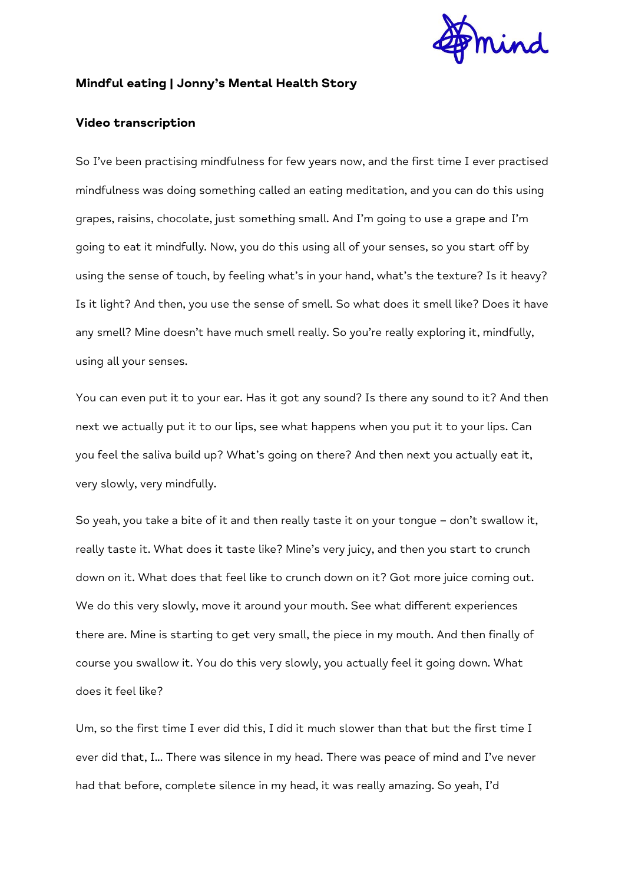

## **Mindful eating | Jonny's Mental Health Story**

## **Video transcription**

So I've been practising mindfulness for few years now, and the first time I ever practised mindfulness was doing something called an eating meditation, and you can do this using grapes, raisins, chocolate, just something small. And I'm going to use a grape and I'm going to eat it mindfully. Now, you do this using all of your senses, so you start off by using the sense of touch, by feeling what's in your hand, what's the texture? Is it heavy? Is it light? And then, you use the sense of smell. So what does it smell like? Does it have any smell? Mine doesn't have much smell really. So you're really exploring it, mindfully, using all your senses.

You can even put it to your ear. Has it got any sound? Is there any sound to it? And then next we actually put it to our lips, see what happens when you put it to your lips. Can you feel the saliva build up? What's going on there? And then next you actually eat it, very slowly, very mindfully.

So yeah, you take a bite of it and then really taste it on your tongue – don't swallow it, really taste it. What does it taste like? Mine's very juicy, and then you start to crunch down on it. What does that feel like to crunch down on it? Got more juice coming out. We do this very slowly, move it around your mouth. See what different experiences there are. Mine is starting to get very small, the piece in my mouth. And then finally of course you swallow it. You do this very slowly, you actually feel it going down. What does it feel like?

Um, so the first time I ever did this, I did it much slower than that but the first time I ever did that, I... There was silence in my head. There was peace of mind and I've never had that before, complete silence in my head, it was really amazing. So yeah, I'd